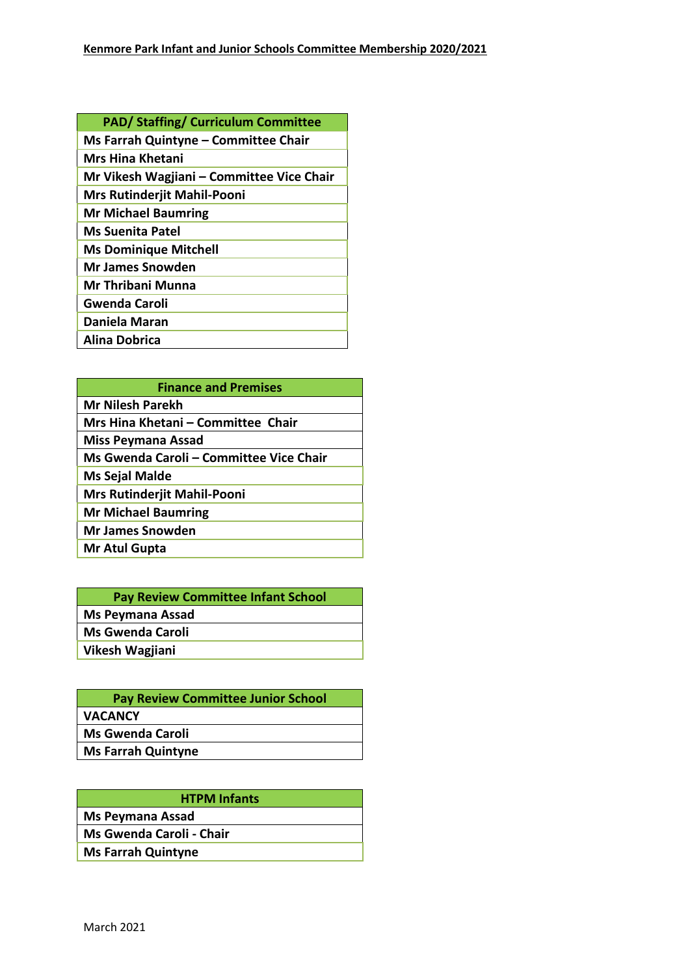| <b>PAD/ Staffing/ Curriculum Committee</b> |
|--------------------------------------------|
| Ms Farrah Quintyne - Committee Chair       |
| Mrs Hina Khetani                           |
| Mr Vikesh Wagjiani – Committee Vice Chair  |
| Mrs Rutinderjit Mahil-Pooni                |
| <b>Mr Michael Baumring</b>                 |
| <b>Ms Suenita Patel</b>                    |
| <b>Ms Dominique Mitchell</b>               |
| Mr James Snowden                           |
| <b>Mr Thribani Munna</b>                   |
| <b>Gwenda Caroli</b>                       |
| Daniela Maran                              |
| Alina Dobrica                              |

| <b>Finance and Premises</b>             |  |
|-----------------------------------------|--|
| <b>Mr Nilesh Parekh</b>                 |  |
| Mrs Hina Khetani – Committee Chair      |  |
| <b>Miss Peymana Assad</b>               |  |
| Ms Gwenda Caroli - Committee Vice Chair |  |
| Ms Sejal Malde                          |  |
| Mrs Rutinderjit Mahil-Pooni             |  |
| <b>Mr Michael Baumring</b>              |  |
| <b>Mr James Snowden</b>                 |  |
| Mr Atul Gupta                           |  |

| <b>Pay Review Committee Infant School</b> |  |
|-------------------------------------------|--|
| <b>Ms Peymana Assad</b>                   |  |
| <b>Ms Gwenda Caroli</b>                   |  |
| Vikesh Wagjiani                           |  |

| <b>HTPM Infants</b>       |
|---------------------------|
| <b>Ms Peymana Assad</b>   |
| Ms Gwenda Caroli - Chair  |
| <b>Ms Farrah Quintyne</b> |